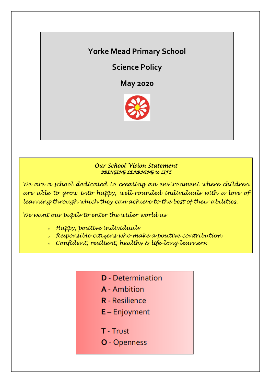# **Yorke Mead Primary School**

**Science Policy**

**May 2020**



### *Our School Vision Statement BRINGING LEARNING to LIFE*

*We are a school dedicated to creating an environment where children are able to grow into happy, well-rounded individuals with a love of learning through which they can achieve to the best of their abilities.*

*We want our pupils to enter the wider world as*

- *<sup>o</sup> Happy, positive individuals*
- *<sup>o</sup> Responsible citizens who make a positive contribution*
- *<sup>o</sup> Confident, resilient, healthy & life-long learners.*
	- **D** Determination
	- A Ambition
	- **R** Resilience
	- $E -$  Enjoyment
	- T Trust
	- O Openness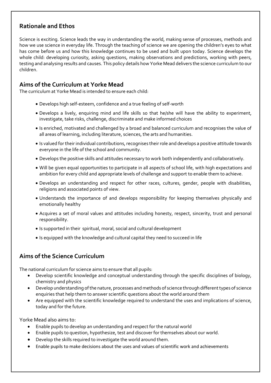# **Rationale and Ethos**

Science is exciting. Science leads the way in understanding the world, making sense of processes, methods and how we use science in everyday life. Through the teaching of science we are opening the children's eyes to what has come before us and how this knowledge continues to be used and built upon today. Science develops the whole child: developing curiosity, asking questions, making observations and predictions, working with peers, testing and analysing results and causes. This policy details how Yorke Mead delivers the science curriculum to our children.

# **Aims of the Curriculum at Yorke Mead**

The curriculum at Yorke Mead is intended to ensure each child:

- Develops high self-esteem, confidence and a true feeling of self-worth
- Develops a lively, enquiring mind and life skills so that he/she will have the ability to experiment, investigate, take risks, challenge, discriminate and make informed choices
- Is enriched, motivated and challenged by a broad and balanced curriculum and recognises the value of all areas of learning, including literature, sciences, the arts and humanities.
- Is valued for their individual contributions, recognises their role and develops a positive attitude towards everyone in the life of the school and community.
- Develops the positive skills and attitudes necessary to work both independently and collaboratively.
- Will be given equal opportunities to participate in all aspects of school life, with high expectations and ambition for every child and appropriate levels of challenge and support to enable them to achieve.
- Develops an understanding and respect for other races, cultures, gender, people with disabilities, religions and associated points of view.
- Understands the importance of and develops responsibility for keeping themselves physically and emotionally healthy
- Acquires a set of moral values and attitudes including honesty, respect, sincerity, trust and personal responsibility.
- Is supported in their spiritual, moral, social and cultural development
- Is equipped with the knowledge and cultural capital they need to succeed in life

# **Aims of the Science Curriculum**

The national curriculum for science aims to ensure that all pupils:

- Develop scientific knowledge and conceptual understanding through the specific disciplines of biology, chemistry and physics
- Develop understanding of the nature, processes and methods of science through different types of science enquiries that help them to answer scientific questions about the world around them
- Are equipped with the scientific knowledge required to understand the uses and implications of science, today and for the future.

Yorke Mead also aims to:

- Enable pupils to develop an understanding and respect for the natural world
- Enable pupils to question, hypothesize, test and discover for themselves about our world.
- Develop the skills required to investigate the world around them.
- Enable pupils to make decisions about the uses and values of scientific work and achievements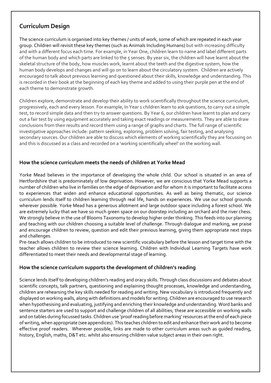### **Curriculum Design**

The science curriculum is organised into key themes / units of work, some of which are repeated in each year group. Children will revisit these key themes (such as Animals Including Humans) but with increasing difficulty and with a different focus each time. For example, in Year One, children learn to name and label different parts of the human body and which parts are linked to the 5 senses. By year six, the children will have learnt about the skeletal structure of the body, how muscles work, learnt about the teeth and the digestive system, how the human body develops and changes and will go on to learn about the circulatory system. Children are actively encouraged to talk about previous learning and questioned about their skills, knowledge and understanding. This is recorded in their book at the beginning of each key theme and added to using their purple pen at the end of each theme to demonstrate growth.

Children explore, demonstrate and develop their ability to work scientifically throughout the science curriculum, progressively, each and every lesson. For example, In Year 1 children learn to ask questions, to carry out a simple test, to record simple data and then try to answer questions. By Year 6, our children have learnt to plan and carry out a fair test by using equipment accurately and taking exact readings or measurements. They are able to draw conclusions from their results and record them using a range of graphs and charts. The full range of scientific investigative approaches include: pattern seeking, exploring, problem solving, fair testing, and analysing secondary sources. Our children are able to discuss which elements of working scientifically they are focussing on and this is discussed as a class and recorded on a 'working scientifically wheel' on the working wall.

### **How the science curriculum meets the needs of children at Yorke Mead**

Yorke Mead believes in the importance of developing the whole child. Our school is situated in an area of Hertfordshire that is predominately of low deprivation. However, we are conscious that Yorke Mead supports a number of children who live in families on the edge of deprivation and for whom it is important to facilitate access to experiences that widen and enhance educational opportunities. As well as being thematic, our science curriculum lends itself to children learning through real life, hands on experiences. We use our school grounds wherever possible. Yorke Mead has a generous allotment and large outdoor space including a forest school. We are extremely lucky that we have so much green space on our doorstep including an orchard and the river chess. We strongly believe in the use of Blooms Taxonomy to develop higher order thinking. This feeds into our planning and teaching with our children choosing a suitable level of challenge. Through dialogue and marking, we praise and encourage children to review, question and edit their previous learning, giving them appropriate next steps and challenges.

Pre-teach allows children to be introduced to new scientific vocabulary before the lesson and target time with the teacher allows children to review their science learning. Children with Individual Learning Targets have work differentiated to meet their needs and developmental stage of learning.

#### **How the science curriculum supports the development of children's reading**

Science lends itself to developing children's reading and oracy skills. Through class discussions and debates about scientific concepts, talk partners, questioning and explaining thought processes, knowledge and understanding, children are rehearsing the key skills needed for reading and writing. New vocabulary is introduced frequently and displayed on working walls, along with definitions and models for writing. Children are encouraged to use research when hypothesising and evaluating, justifying and enriching their knowledge and understanding. Word banks and sentence starters are used to support and challenge children of all abilities; these are accessible on working walls and on tables during focussed tasks. Children use 'proof reading before marking' resources at the end of each piece of writing, when appropriate (see appendices). This teaches children to edit and enhance their work and to become effective proof readers. Wherever possible, links are made to other curriculum areas such as guided reading, history, English, maths, D&T etc. whilst also ensuring children value subject areas in their own right.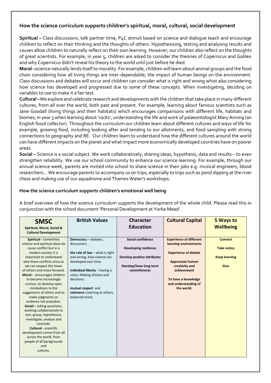### **How the science curriculum supports children's spiritual, moral, cultural, social development**

**Spiritual –** Class discussions, talk partner time, P4C stimuli based on science and dialogue teach and encourage children to reflect on their thinking and the thoughts of others. Hypothesising, testing and analysing results and causes allow children to naturally reflect on their own learning. However, our children also reflect on the thoughts of great scientists. For example, in year 5, children are asked to consider the theories of Copernicus and Galileo and why Copernicus didn't reveal his theory to the world until just before he died.

**Moral –**science naturally lends itself to morality. For example, children will learn about animal groups and the food chain considering how all living things are inter-dependable; the impact of human beings on the environment. Class discussions and debates will occur and children can consider what is right and wrong whist also considering how science has developed and progressed due to some of these concepts. When investigating, deciding on variables to use to make it a fair test.

**Cultural –**We explore and celebrate research and developments with the children that take place in many different cultures, from all over the world, both past and present. For example, learning about famous scientists such as Jane Goodall (living things and their habitats) which encourages comparisons with different life, habitats and biomes; in year 3 when learning about 'rocks', understanding the life and work of palaeontologist Mary Anning (an English fossil collector). Throughout the curriculum our children learn about different cultures and ways of life for example, growing food, including looking after and tending to our allotments, and food sampling with strong connections to geography and RE. Our children learn to understand how the different cultures around the world can have different impacts on the planet and what impact more economically developed countries have on poorer areas.

**Social –** Science is a social subject. We work collaboratively, sharing ideas, hypothesis, data and results – to even strengthen reliability. We use our school community to enhance our science learning. For example, through our annual science week, parents are invited into school to share science in their jobs e.g. musical engineers, blood researchers… We encourage parents to accompany us on trips, especially to trips such as pond dipping at the river chess and making use of our aquadrome and Thames Water's workshops.

#### **How the science curriculum supports children's emotional well being**

A brief overview of how the science curriculum supports the development of the whole child. Please read this in conjunction with the school document 'Personal Development at Yorke Mead'.

| <b>SMSC</b><br>Spiritual, Moral, Social &<br><b>Cultural Development</b>                                                                                                                                                                                                                                                                                                                                                                                                                                                                                                                                                                                                                                            | <b>British Values</b>                                                                                                                                                                                                                                                                | <b>Character</b><br><b>Education</b>                                                                                      | <b>Cultural Capital</b>                                                                                                                                                                                  | 5 Ways to<br><b>Wellbeing</b>                                        |
|---------------------------------------------------------------------------------------------------------------------------------------------------------------------------------------------------------------------------------------------------------------------------------------------------------------------------------------------------------------------------------------------------------------------------------------------------------------------------------------------------------------------------------------------------------------------------------------------------------------------------------------------------------------------------------------------------------------------|--------------------------------------------------------------------------------------------------------------------------------------------------------------------------------------------------------------------------------------------------------------------------------------|---------------------------------------------------------------------------------------------------------------------------|----------------------------------------------------------------------------------------------------------------------------------------------------------------------------------------------------------|----------------------------------------------------------------------|
| <b>Spiritual - Sometimes</b><br>science and spiritual ideas do<br>cause conflict but in a<br>modern society it is<br>important to understand<br>why these conflicts arise so<br>we can respect the views<br>of others and move forward.<br>Moral - encourages children<br>to become increasingly<br>curious, to develop open<br>mindedness to the<br>suggestions of others and to<br>make judgments on<br>evidence not prejudice.<br><b>Social</b> – asking questions,<br>working collaboratively to<br>sort, group, hypothesise,<br>investigate, analyse and<br>conclude.<br><b>Cultural - scientific</b><br>development comes from all<br>across the world, from<br>people of all backgrounds<br>and<br>cultures. | Democracy - debates,<br>discussions<br>the rule of law $-$ what is right<br>and wrong, how science has<br>developed over time.<br>individual liberty - having a<br>voice. Making choices and<br>decisions.<br>mutual respect and<br>tolerance Listening to others,<br>balanced mind, | Social confidence<br><b>Developing resilience</b><br>Develop positive attributes<br>Develop/have long term<br>commitments | <b>Experience of different</b><br>learning environments<br><b>Experience of debate</b><br>Appreciate human<br>creativity and<br>achievement<br>To have a knowledge<br>and understanding of<br>the world. | <b>Connect</b><br><b>Take notice</b><br><b>Keep learning</b><br>Give |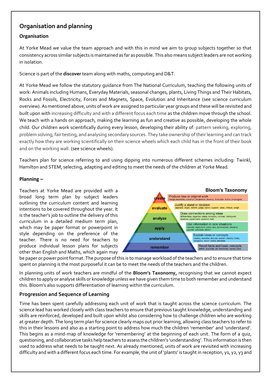# **Organisation and planning**

### **Organisation**

At Yorke Mead we value the team approach and with this in mind we aim to group subjects together so that consistency across similar subjects is maintained as far as possible. This also means subject leaders are not working in isolation.

Science is part of the **discover** team along with maths, computing and D&T.

At Yorke Mead we follow the statutory guidance from The National Curriculum, teaching the following units of work: Animals including Humans, Everyday Materials, seasonal changes, plants, Living Things and Their Habitats, Rocks and Fossils, Electricity, Forces and Magnets, Space, Evolution and Inheritance (see science curriculum overview). As mentioned above, units of work are assigned to particular year groups and these will be revisited and built upon with increasing difficulty and with a different focus each time as the children move through the school. We teach with a hands on approach, making the learning as fun and creative as possible, developing the whole child. Our children work scientifically during every lesson, developing their ability of: pattern seeking, exploring, problem solving, fair testing, and analysing secondary sources. They take ownership of their learning and can track exactly how they are working scientifically on their science wheels which each child has in the front of their book and on the working wall. (see science wheels).

Teachers plan for science referring to and using dipping into numerous different schemes including: Twinkl, Hamilton and STEM, selecting, adapting and editing to meet the needs of the children at Yorke Mead.

#### **Planning –**

Teachers at Yorke Mead are provided with a broad long term plan by subject leaders outlining the curriculum content and learning intentions to be covered throughout the year. It is the teacher's job to outline the delivery of this curriculum in a detailed medium term plan, which may be paper format or powerpoint in style depending on the preference of the teacher. There is no need for teachers to produce individual lesson plans for subjects other than English and Maths, which again may



be paper or power point format. The purpose of this is to manage workload of the teachers and to ensure that time spent on planning is the most purposeful it can be to meet the needs of the teachers and the children.

In planning units of work teachers are mindful of the **Bloom's Taxonomy,** recognising that we cannot expect children to apply or analyse skills or knowledge unless we have given them time to both remember and understand this. Bloom's also supports differentiation of learning within the curriculum.

#### **Progression and Sequence of Learning**

Time has been spent carefully addressing each unit of work that is taught across the science curriculum. The science lead has worked closely with class teachers to ensure that previous taught knowledge, understanding and skills are reinforced, developed and built upon whilst also considering how to challenge children who are working at greater depth. The long term plan for science clearly maps out prior learning, allowing class teachers to refer to this in their lessons and also as a starting point to address how much the children 'remember' and 'understand'. This begins as a mind-map of knowledge for 'remembering' at the beginning of each unit. The form of a quiz, questioning, and collaborative tasks help teachers to assess the children's 'understanding'. This information is then used to address what needs to be taught next. As already mentioned, units of work are revisited with increasing difficulty and with a different focus each time. For example, the unit of 'plants' is taught in reception, y1, y2, y3 and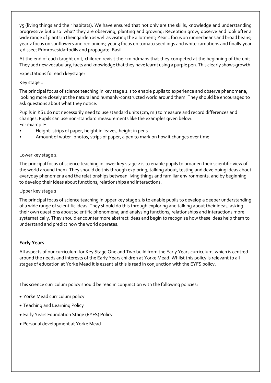y5 (living things and their habitats). We have ensured that not only are the skills, knowledge and understanding progressive but also 'what' they are observing, planting and growing: Reception grow, observe and look after a wide range of plants in their garden as well as visiting the allotment; Year 1 focus on runner beans and broad beans; year 2 focus on sunflowers and red onions; year 3 focus on tomato seedlings and white carnations and finally year 5 dissect Primroses/daffodils and propagate: Basil.

At the end of each taught unit, children revisit their mindmaps that they competed at the beginning of the unit. They add new vocabulary, facts and knowledge that they have learnt using a purple pen. This clearly shows growth.

#### Expectations for each keystage:

#### Key stage 1

The principal focus of science teaching in key stage 1 is to enable pupils to experience and observe phenomena, looking more closely at the natural and humanly-constructed world around them. They should be encouraged to ask questions about what they notice.

Pupils in KS1 do not necessarily need to use standard units (cm, ml) to measure and record differences and changes. Pupils can use non-standard measurements like the examples given below. For example:

- Height- strips of paper, height in leaves, height in pens
- Amount of water- photos, strips of paper, a pen to mark on how it changes over time

#### Lower key stage 2

The principal focus of science teaching in lower key stage 2 is to enable pupils to broaden their scientific view of the world around them. They should do this through exploring, talking about, testing and developing ideas about everyday phenomena and the relationships between living things and familiar environments, and by beginning to develop their ideas about functions, relationships and interactions.

#### Upper key stage 2

The principal focus of science teaching in upper key stage 2 is to enable pupils to develop a deeper understanding of a wide range of scientific ideas. They should do this through exploring and talking about their ideas; asking their own questions about scientific phenomena; and analysing functions, relationships and interactions more systematically. They should encounter more abstract ideas and begin to recognise how these ideas help them to understand and predict how the world operates.

#### **Early Years**

All aspects of our curriculum for Key Stage One and Two build from the Early Years curriculum, which is centred around the needs and interests of the Early Years children at Yorke Mead. Whilst this policy is relevant to all stages of education at Yorke Mead it is essential this is read in conjunction with the EYFS policy.

This science curriculum policy should be read in conjunction with the following policies:

- Yorke Mead curriculum policy
- Teaching and Learning Policy
- Early Years Foundation Stage (EYFS) Policy
- Personal development at Yorke Mead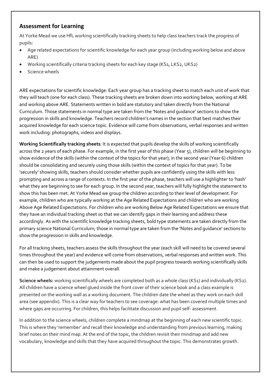### **Assessment for Learning**

At Yorke Mead we use HfL working scientifically tracking sheets to help class teachers track the progress of pupils:

- Age related expectations for scientific knowledge for each year group (including working below and above ARE)
- Working scientifically criteria tracking sheets for each key stage (KS1, LKS2, UKS2)
- Science wheels

ARE expectations for scientific knowledge: Each year group has a tracking sheet to match each unit of work that they will teach (one for each class). These tracking sheets are broken down into working below, working at ARE and working above ARE. Statements written in bold are statutory and taken directly from the National Curriculum. Those statements in normal type are taken from the 'Notes and guidance' sections to show the progression in skills and knowledge. Teachers record children's names in the section that best matches their acquired knowledge for each science topic. Evidence will come from observations, verbal responses and written work including: photographs, videos and displays.

**Working Scientifically tracking sheets**: It is expected that pupils develop the skills of working scientifically across the 2 years of each phase. For example, in the first year of this phase (Year 5), children will be beginning to show evidence of the skills (within the context of the topics for that year); in the second year (Year 6) children should be consolidating and securely using those skills (within the context of topics for that year). To be 'securely' showing skills, teachers should consider whether pupils are confidently using the skills with less prompting and across a range of contexts. In the first year of the phase, teachers will use a highlighter to 'hash' what they are beginning to see for each group. In the second year, teachers will fully highlight the statement to show this has been met. At Yorke Mead we group the children according to their level of development. For example, children who are typically working at the Age Related Expectations and children who are working Above Age Related Expectations. For children who are working Below Age Related Expectations we ensure that they have an individual tracking sheet so that we can identify gaps in their learning and address these accordingly. As with the scientific knowledge tracking sheets, bold type statements are taken directly from the primary science National Curriculum; those in normal type are taken from the 'Notes and guidance' sections to show the progression in skills and knowledge.

For all tracking sheets, teachers assess the skills throughout the year (each skill will need to be covered several times throughout the year) and evidence will come from observations, verbal responses and written work. This can then be used to support the judgements made about the pupil progress towards working scientifically skills and make a judgement about attainment overall.

**Science wheels:** working scientifically wheels are completed both as a whole class (KS1) and individually (KS2). All children have a science wheel glued inside the front cover of their science book and a class example is presented on the working wall as a working document. The children date the wheel as they work on each skill area (see appendix). This is a clear way for teachers to see coverage: what has been covered multiple times and where gaps are occurring. For children, this helps facilitate discussion and pupil self- assessment.

In addition to the science wheels, children complete a mindmap at the beginning of each new scientific topic. This is where they 'remember' and recall their knowledge and understanding from previous learning, making brief notes on their mind map. At the end of the topic, the children revisit their mindmap and add new vocabulary, knowledge and skills that they have acquired throughout the topic. This demonstrates growth.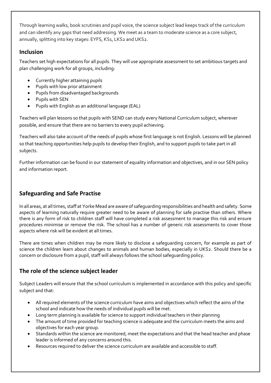Through learning walks, book scrutinies and pupil voice, the science subject lead keeps track of the curriculum and can identify any gaps that need addressing. We meet as a team to moderate science as a core subject, annually, splitting into key stages: EYFS, KS1, LKS2 and UKS2.

# **Inclusion**

Teachers set high expectations for all pupils. They will use appropriate assessment to set ambitious targets and plan challenging work for all groups, including:

- Currently higher attaining pupils
- Pupils with low prior attainment
- Pupils from disadvantaged backgrounds
- Pupils with SEN
- Pupils with English as an additional language (EAL)

Teachers will plan lessons so that pupils with SEND can study every National Curriculum subject, wherever possible, and ensure that there are no barriers to every pupil achieving.

Teachers will also take account of the needs of pupils whose first language is not English. Lessons will be planned so that teaching opportunities help pupils to develop their English, and to support pupils to take part in all subjects.

Further information can be found in our statement of equality information and objectives, and in our SEN policy and information report.

# **Safeguarding and Safe Practise**

In all areas, at all times, staff at Yorke Mead are aware of safeguarding responsibilities and health and safety. Some aspects of learning naturally require greater need to be aware of planning for safe practise than others. Where there is any form of risk to children staff will have completed a risk assessment to manage this risk and ensure procedures minimise or remove the risk. The school has a number of generic risk assessments to cover those aspects where risk will be evident at all times.

There are times when children may be more likely to disclose a safeguarding concern, for example as part of science the children learn about changes to animals and human bodies, especially in UKS2. Should there be a concern or disclosure from a pupil, staff will always follows the school safeguarding policy.

# **The role of the science subject leader**

Subject Leaders will ensure that the school curriculum is implemented in accordance with this policy and specific subject and that:

- All required elements of the science curriculum have aims and objectives which reflect the aims of the school and indicate how the needs of individual pupils will be met.
- Long term planning is available for science to support individual teachers in their planning
- The amount of time provided for teaching science is adequate and the curriculum meets the aims and objectives for each year group.
- Standards within the science are monitored, meet the expectations and that the head teacher and phase leader is informed of any concerns around this.
- Resources required to deliver the science curriculum are available and accessible to staff.